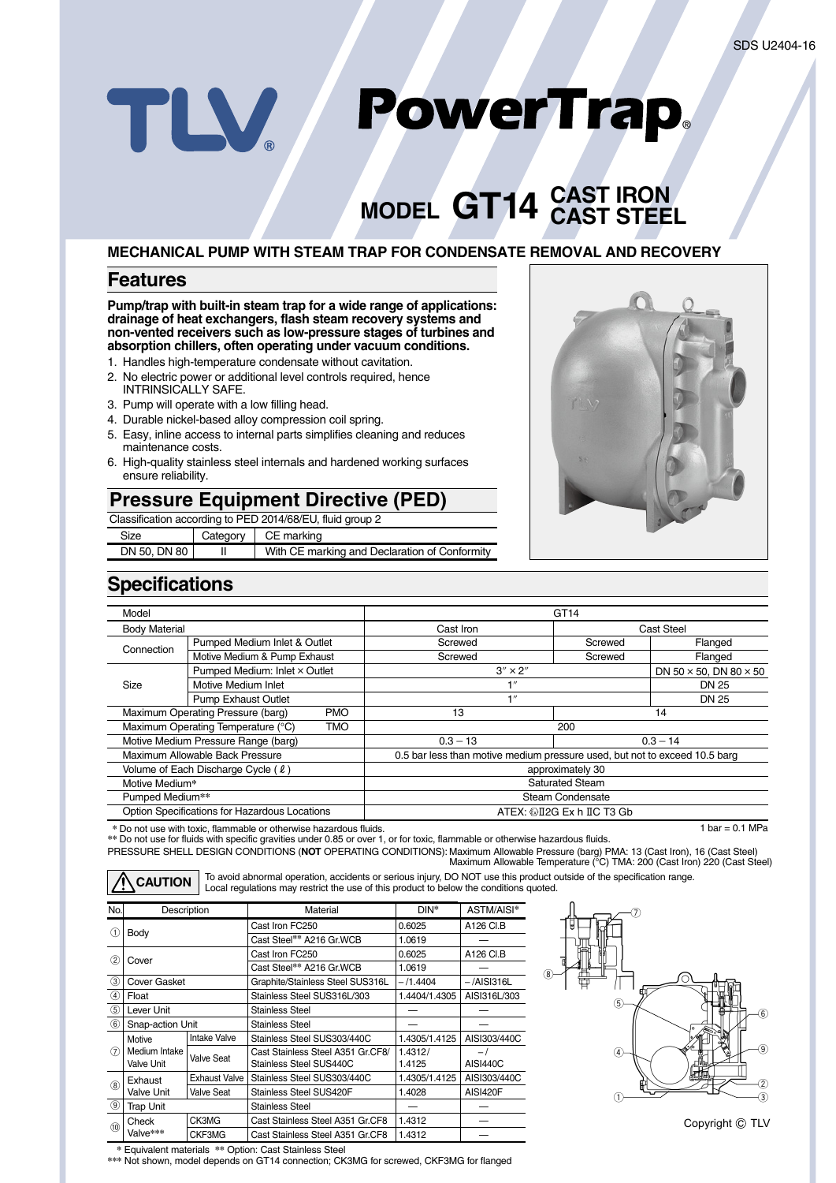# PowerTrap. TLV

# **GT14 CAST IRON MODEL CAST STEEL**

#### **MECHANICAL PUMP WITH STEAM TRAP FOR CONDENSATE REMOVAL AND RECOVERY**

#### **Features**

#### **Pump/trap with built-in steam trap for a wide range of applications: drainage of heat exchangers, flash steam recovery systems and non-vented receivers such as low-pressure stages of turbines and absorption chillers, often operating under vacuum conditions.**

- 1. Handles high-temperature condensate without cavitation.
- 2. No electric power or additional level controls required, hence INTRINSICALLY SAFE.
- 3. Pump will operate with a low filling head.
- 4. Durable nickel-based alloy compression coil spring.
- 5. Easy, inline access to internal parts simplifies cleaning and reduces maintenance costs.
- 6. High-quality stainless steel internals and hardened working surfaces ensure reliability.

# **Pressure Equipment Directive (PED)**

| Classification according to PED 2014/68/EU, fluid group 2 |                        |                                               |  |  |
|-----------------------------------------------------------|------------------------|-----------------------------------------------|--|--|
| Size                                                      | CE marking<br>Category |                                               |  |  |
| DN 50, DN 80                                              |                        | With CE marking and Declaration of Conformity |  |  |



# **Specifications**

| Model                                         |                                                  | GT <sub>14</sub>                                                           |         |                                      |  |
|-----------------------------------------------|--------------------------------------------------|----------------------------------------------------------------------------|---------|--------------------------------------|--|
| <b>Body Material</b>                          |                                                  | Cast Iron                                                                  |         | <b>Cast Steel</b>                    |  |
| Connection                                    | Pumped Medium Inlet & Outlet                     | Screwed                                                                    | Screwed | Flanged                              |  |
|                                               | Motive Medium & Pump Exhaust                     | Screwed                                                                    | Screwed | Flanged                              |  |
|                                               | Pumped Medium: Inlet × Outlet                    | $3'' \times 2''$                                                           |         | DN 50 $\times$ 50. DN 80 $\times$ 50 |  |
| Size                                          | Motive Medium Inlet                              | $\blacksquare$                                                             |         | <b>DN 25</b>                         |  |
|                                               | <b>Pump Exhaust Outlet</b>                       | 1''                                                                        |         | DN 25                                |  |
|                                               | Maximum Operating Pressure (barg)<br><b>PMO</b>  | 13                                                                         |         | 14                                   |  |
|                                               | Maximum Operating Temperature (°C)<br><b>TMO</b> | 200                                                                        |         |                                      |  |
| Motive Medium Pressure Range (barg)           |                                                  | $0.3 - 13$                                                                 |         | $0.3 - 14$                           |  |
| Maximum Allowable Back Pressure               |                                                  | 0.5 bar less than motive medium pressure used, but not to exceed 10.5 barg |         |                                      |  |
| Volume of Each Discharge Cycle ( $\ell$ )     |                                                  | approximately 30                                                           |         |                                      |  |
| Motive Medium*                                |                                                  | <b>Saturated Steam</b>                                                     |         |                                      |  |
| Pumped Medium**                               |                                                  | Steam Condensate                                                           |         |                                      |  |
| Option Specifications for Hazardous Locations |                                                  | ATEX: @I2G Ex h IIC T3 Gb                                                  |         |                                      |  |

**\*** Do not use with toxic, flammable or otherwise hazardous fluids.

PRESSURE SHELL DESIGN CONDITIONS (**NOT** OPERATING CONDITIONS): Maximum Allowable Pressure (barg) PMA: 13 (Cast Iron), 16 (Cast Steel)  $1 \text{ bar} = 0.1 \text{ MPa}$ **\*\*** Do not use for fluids with specific gravities under 0.85 or over 1, or for toxic, flammable or otherwise hazardous fluids.

Maximum Allowable Temperature (°C) TMA: 200 (Cast Iron) 220 (Cast Steel) **CAUTION** To avoid abnormal operation, accidents or serious injury, DO NOT use this product outside of the specification range.<br> **CAUTION** Local regulations may restrict the use of this product to below the conditions quot

| No.                       | Description                        |                   | Material                                                     | DIN*              | ASTM/AISI*      |  |  |
|---------------------------|------------------------------------|-------------------|--------------------------------------------------------------|-------------------|-----------------|--|--|
|                           |                                    |                   | Cast Iron FC250                                              | 0.6025            | A126 CI.B       |  |  |
| $\left( 1\right)$<br>Body |                                    |                   | Cast Steel** A216 Gr. WCB                                    | 1.0619            |                 |  |  |
| $\rm(2)$<br>Cover         |                                    |                   | Cast Iron FC250                                              | 0.6025            | A126 CI.B       |  |  |
|                           |                                    |                   | Cast Steel** A216 Gr.WCB                                     | 1.0619            |                 |  |  |
| 3                         | Cover Gasket                       |                   | Graphite/Stainless Steel SUS316L                             | – /1.4404         | –/AISI316L      |  |  |
| 4                         | Float                              |                   | Stainless Steel SUS316L/303                                  | 1.4404/1.4305     | AISI316L/303    |  |  |
| $\circledS$               | Lever Unit                         |                   | Stainless Steel                                              |                   |                 |  |  |
| $\circledast$             | Snap-action Unit                   |                   | Stainless Steel                                              |                   |                 |  |  |
|                           | Motive                             | Intake Valve      | Stainless Steel SUS303/440C                                  | 1.4305/1.4125     | AISI303/440C    |  |  |
| (7)                       | Medium Intake<br><b>Valve Unit</b> | Valve Seat        | Cast Stainless Steel A351 Gr.CF8/<br>Stainless Steel SUS440C | 1.4312/<br>1.4125 | <b>AISI440C</b> |  |  |
| (8)                       | Exhaust                            | Exhaust Valve     | Stainless Steel SUS303/440C                                  | 1.4305/1.4125     | AISI303/440C    |  |  |
|                           | <b>Valve Unit</b>                  | <b>Valve Seat</b> | Stainless Steel SUS420F                                      | 1.4028            | AISI420F        |  |  |
| $\circledcirc$            | Trap Unit                          |                   | Stainless Steel                                              |                   |                 |  |  |
| (10)                      | Check                              | CK3MG             | Cast Stainless Steel A351 Gr.CF8                             | 1.4312            |                 |  |  |
|                           | Valve***                           | CKF3MG            | Cast Stainless Steel A351 Gr.CF8                             | 1.4312            |                 |  |  |



**\*** Equivalent materials **\*\*** Option: Cast Stainless Steel

**\*\*\*** Not shown, model depends on GT14 connection; CK3MG for screwed, CKF3MG for flanged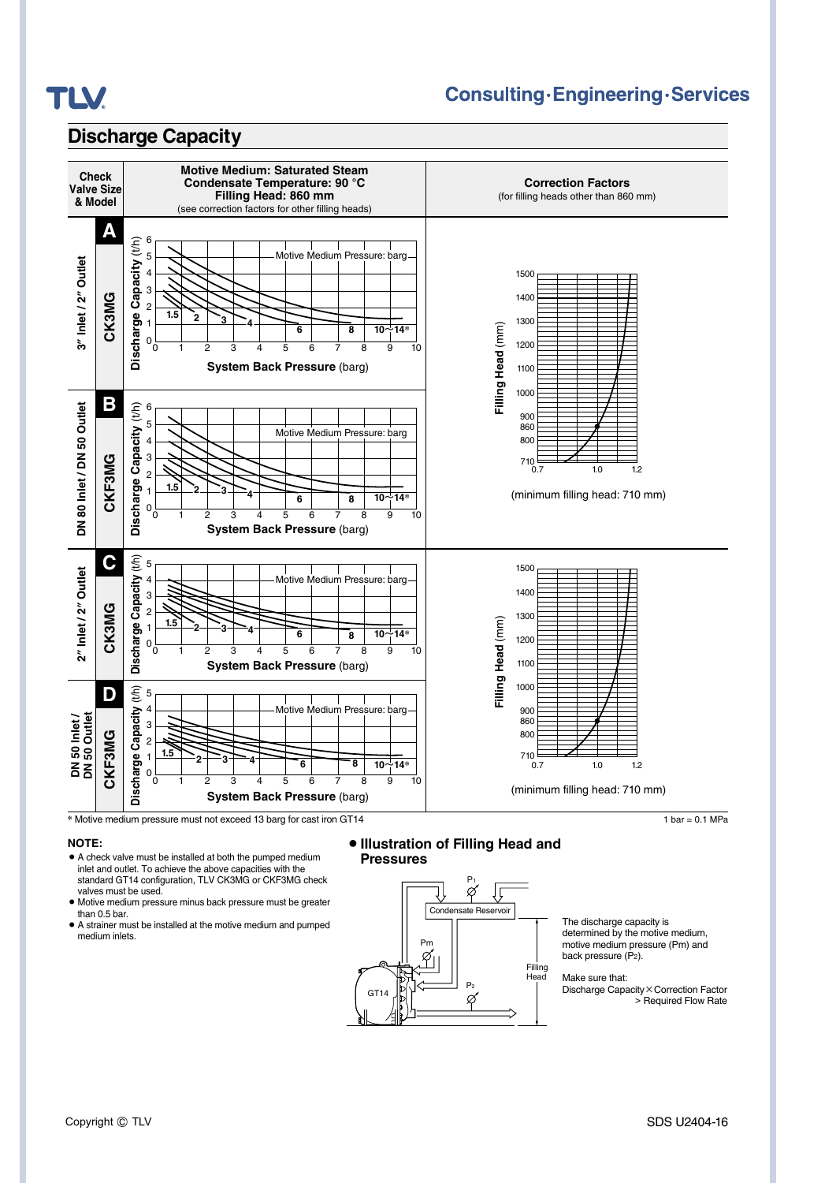

# **Consulting·Engineering·Services**

### **Discharge Capacity**



#### **NOTE:**

- **•** A check valve must be installed at both the pumped medium inlet and outlet. To achieve the above capacities with the standard GT14 configuration, TLV CK3MG or CKF3MG check valves must be used.
- **•** Motive medium pressure minus back pressure must be greater than 0.5 bar.
- **•** A strainer must be installed at the motive medium and pumped medium inlets.

#### **• Illustration of Filling Head and Pressures**



The discharge capacity is determined by the motive medium, motive medium pressure (Pm) and back pressure (P2).

Make sure that:

Discharge Capacity×Correction Factor > Required Flow Rate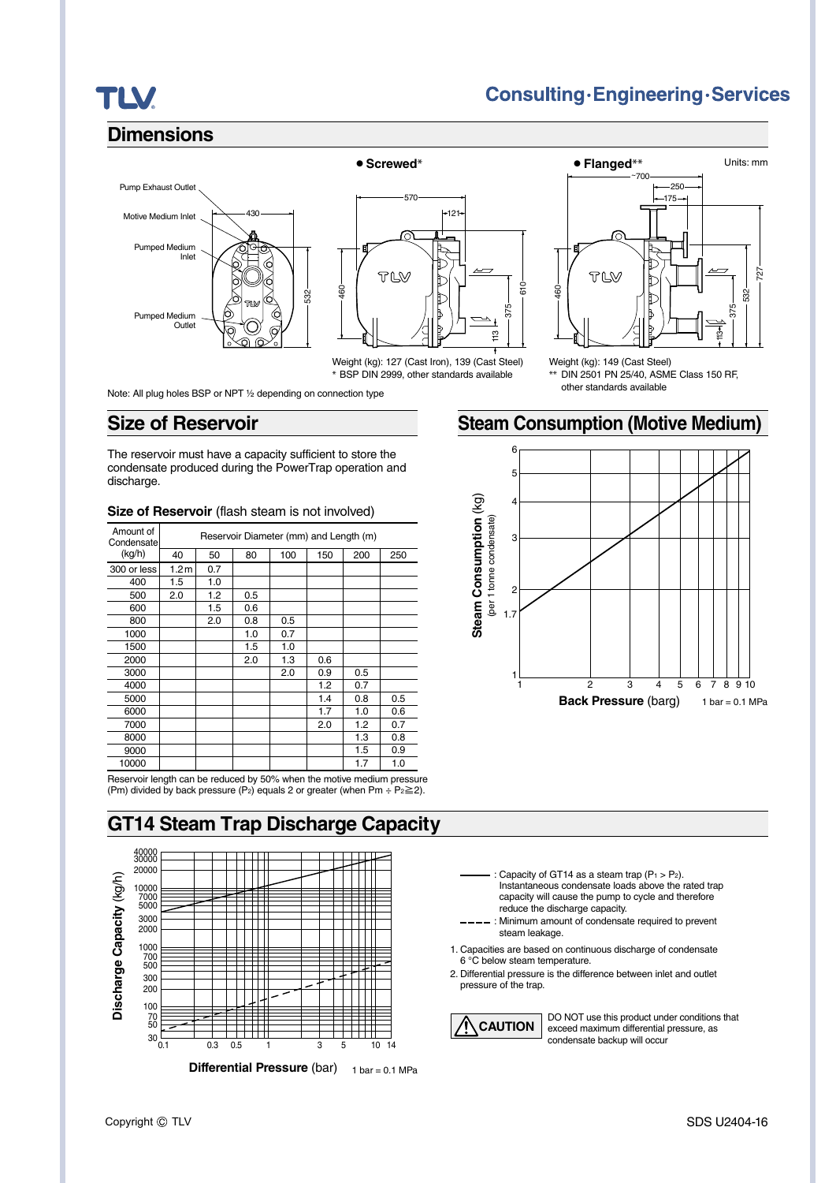# **TLV**

# **Consulting·Engineering·Services**

# **Dimensions**





Weight (kg): 127 (Cast Iron), 139 (Cast Steel) **\*** BSP DIN 2999, other standards available

¡**Screwed\*** ¡**Flanged\*\*** Units: mm

~700  $-250$  $-175-$ TLW 727

532

375 은

Weight (kg): 149 (Cast Steel) **\*\*** DIN 2501 PN 25/40, ASME Class 150 RF, other standards available

Note: All plug holes BSP or NPT ½ depending on connection type

### **Size of Reservoir**

The reservoir must have a capacity sufficient to store the condensate produced during the PowerTrap operation and discharge.

| Amount of<br>Condensate | Reservoir Diameter (mm) and Length (m) |     |     |     |     |     |     |
|-------------------------|----------------------------------------|-----|-----|-----|-----|-----|-----|
| (kg/h)                  | 40                                     | 50  | 80  | 100 | 150 | 200 | 250 |
| 300 or less             | 1.2 <sub>m</sub>                       | 0.7 |     |     |     |     |     |
| 400                     | 1.5                                    | 1.0 |     |     |     |     |     |
| 500                     | 2.0                                    | 1.2 | 0.5 |     |     |     |     |
| 600                     |                                        | 1.5 | 0.6 |     |     |     |     |
| 800                     |                                        | 2.0 | 0.8 | 0.5 |     |     |     |
| 1000                    |                                        |     | 1.0 | 0.7 |     |     |     |
| 1500                    |                                        |     | 1.5 | 1.0 |     |     |     |
| 2000                    |                                        |     | 2.0 | 1.3 | 0.6 |     |     |
| 3000                    |                                        |     |     | 2.0 | 0.9 | 0.5 |     |
| 4000                    |                                        |     |     |     | 1.2 | 0.7 |     |
| 5000                    |                                        |     |     |     | 1.4 | 0.8 | 0.5 |
| 6000                    |                                        |     |     |     | 1.7 | 1.0 | 0.6 |
| 7000                    |                                        |     |     |     | 2.0 | 1.2 | 0.7 |
| 8000                    |                                        |     |     |     |     | 1.3 | 0.8 |
| 9000                    |                                        |     |     |     |     | 1.5 | 0.9 |
| 10000                   |                                        |     |     |     |     | 1.7 | 1.0 |

#### **Size of Reservoir** (flash steam is not involved)

Reservoir length can be reduced by 50% when the motive medium pressure (Pm) divided by back pressure (P<sub>2</sub>) equals 2 or greater (when Pm ÷ P<sub>2</sub> $\geq$ 2).

# **GT14 Steam Trap Discharge Capacity**



**Steam Consumption (Motive Medium)**

460



Capacity of GT14 as a steam trap  $(P_1 > P_2)$ . Instantaneous condensate loads above the rated trap capacity will cause the pump to cycle and therefore reduce the discharge capacity.

: Minimum amount of condensate required to prevent steam leakage.

- 1. Capacities are based on continuous discharge of condensate 6 °C below steam temperature.
- 2. Differential pressure is the difference between inlet and outlet pressure of the trap.

**CAUTION** DO NOT use this product under conditions that **CAUTION** exceed maximum differential pressure, as condensate backup will occur